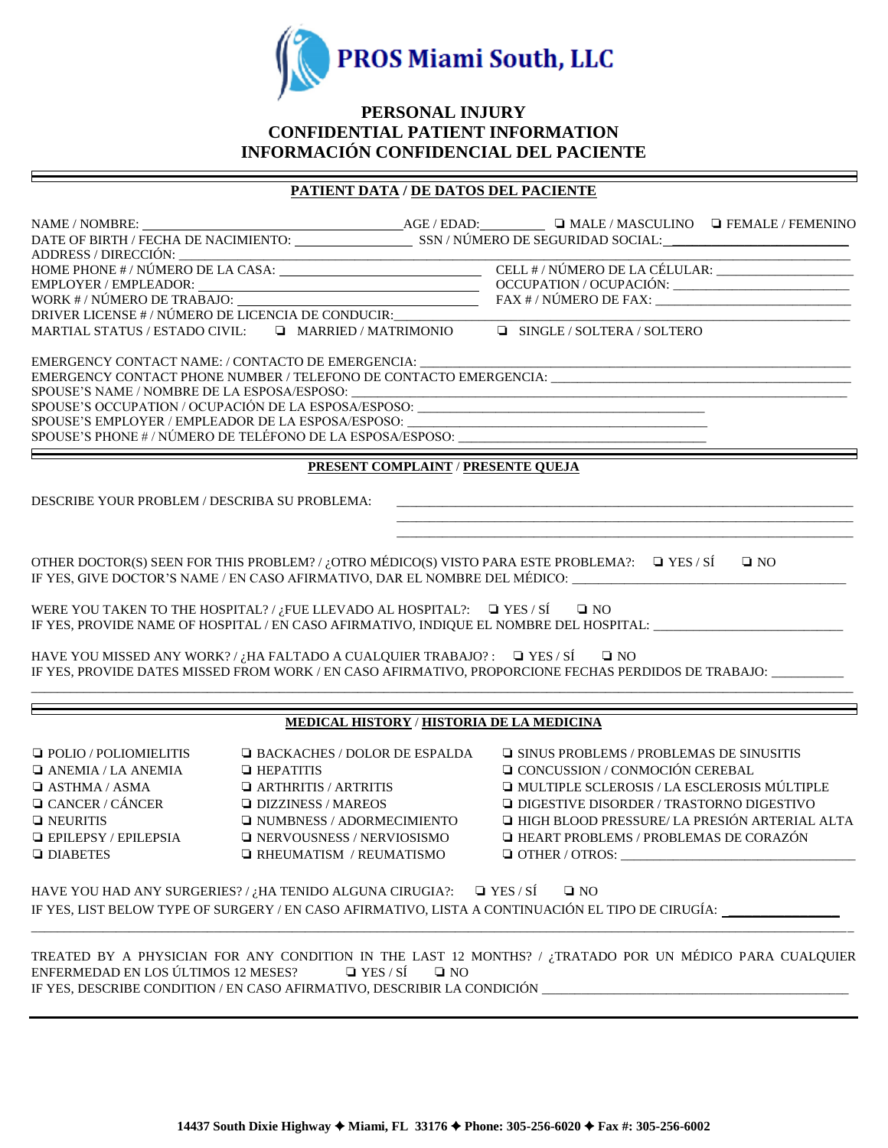

# **PERSONAL INJURY CONFIDENTIAL PATIENT INFORMATION INFORMACIÓN CONFIDENCIAL DEL PACIENTE**

# **PATIENT DATA / DE DATOS DEL PACIENTE**

| EMERGENCY CONTACT NAME: / CONTACTO DE EMERGENCIA:                                                       |                                                  |                                           |                                                                                                                                                                                          |              |  |
|---------------------------------------------------------------------------------------------------------|--------------------------------------------------|-------------------------------------------|------------------------------------------------------------------------------------------------------------------------------------------------------------------------------------------|--------------|--|
|                                                                                                         |                                                  |                                           |                                                                                                                                                                                          |              |  |
|                                                                                                         |                                                  |                                           | ${\tt SPOUSE'S NAME \textit{ /}~\textit{NOMBRE DE LA ESPOSA/ESPOSO: \textit{ \textbf{\texttt{1}}}}$<br>SPOUSE'S OCCUPATION / OCUPACIÓN DE LA ESPOSA/ESPOSO: ____________________________ |              |  |
|                                                                                                         |                                                  |                                           | SPOUSE'S EMPLOYER / EMPLEADOR DE LA ESPOSA/ESPOSO: ______________________________                                                                                                        |              |  |
|                                                                                                         |                                                  |                                           | SPOUSE'S EMPLOTER / ENTLEADUN DE LA ESPOSA/ESPOSO:                                                                                                                                       |              |  |
|                                                                                                         |                                                  |                                           |                                                                                                                                                                                          |              |  |
|                                                                                                         |                                                  | <b>PRESENT COMPLAINT / PRESENTE QUEJA</b> |                                                                                                                                                                                          |              |  |
| DESCRIBE YOUR PROBLEM / DESCRIBA SU PROBLEMA:                                                           |                                                  |                                           |                                                                                                                                                                                          |              |  |
|                                                                                                         |                                                  |                                           | and the control of the control of the control of the control of the control of the control of the control of the                                                                         |              |  |
|                                                                                                         |                                                  |                                           |                                                                                                                                                                                          |              |  |
|                                                                                                         |                                                  |                                           | OTHER DOCTOR(S) SEEN FOR THIS PROBLEM? / ¿OTRO MÉDICO(S) VISTO PARA ESTE PROBLEMA?: $\Box$ YES / SÍ                                                                                      | $\square$ NO |  |
|                                                                                                         |                                                  |                                           | IF YES, GIVE DOCTOR'S NAME / EN CASO AFIRMATIVO, DAR EL NOMBRE DEL MÉDICO:                                                                                                               |              |  |
|                                                                                                         |                                                  |                                           |                                                                                                                                                                                          |              |  |
| WERE YOU TAKEN TO THE HOSPITAL?/ $i$ FUE LLEVADO AL HOSPITAL?: $\Box$ YES / SÍ $\Box$ NO                |                                                  |                                           |                                                                                                                                                                                          |              |  |
|                                                                                                         |                                                  |                                           | IF YES, PROVIDE NAME OF HOSPITAL / EN CASO AFIRMATIVO, INDIQUE EL NOMBRE DEL HOSPITAL: _______________________                                                                           |              |  |
|                                                                                                         |                                                  |                                           |                                                                                                                                                                                          |              |  |
| HAVE YOU MISSED ANY WORK?/ <sub><i>i</i></sub> HA FALTADO A CUALQUIER TRABAJO?: $\Box$ YES/SI $\Box$ NO |                                                  |                                           |                                                                                                                                                                                          |              |  |
|                                                                                                         |                                                  |                                           | IF YES, PROVIDE DATES MISSED FROM WORK / EN CASO AFIRMATIVO, PROPORCIONE FECHAS PERDIDOS DE TRABAJO: ________                                                                            |              |  |
|                                                                                                         |                                                  |                                           |                                                                                                                                                                                          |              |  |
|                                                                                                         | <b>MEDICAL HISTORY / HISTORIA DE LA MEDICINA</b> |                                           |                                                                                                                                                                                          |              |  |
| $\Box$ POLIO / POLIOMIELITIS                                                                            | <b>EXECUTE:</b> / DOLOR DE ESPALDA               |                                           | □ SINUS PROBLEMS / PROBLEMAS DE SINUSITIS                                                                                                                                                |              |  |
| $\Box$ ANEMIA / LA ANEMIA                                                                               | <b>E</b> HEPATITIS                               |                                           | □ CONCUSSION / CONMOCIÓN CEREBAL                                                                                                                                                         |              |  |
| $\Box$ ASTHMA / ASMA                                                                                    | $\Box$ ARTHRITIS / ARTRITIS                      |                                           | I MULTIPLE SCLEROSIS / LA ESCLEROSIS MÚLTIPLE                                                                                                                                            |              |  |
| $\Box$ CANCER / CÁNCER                                                                                  | $\Box$ DIZZINESS / MAREOS                        |                                           | □ DIGESTIVE DISORDER / TRASTORNO DIGESTIVO                                                                                                                                               |              |  |
| $\Box$ NEURITIS                                                                                         | <b>INUMBNESS / ADORMECIMIENTO</b>                |                                           | I HIGH BLOOD PRESSURE/ LA PRESIÓN ARTERIAL ALTA                                                                                                                                          |              |  |
| $\Box$ EPILEPSY / EPILEPSIA                                                                             | <b>INERVOUSNESS / NERVIOSISMO</b>                |                                           | <b>HEART PROBLEMS / PROBLEMAS DE CORAZÓN</b>                                                                                                                                             |              |  |
| $\Box$ DIABETES                                                                                         | $\Box$ RHEUMATISM / REUMATISMO                   |                                           | $\Box$ OTHER / OTROS:                                                                                                                                                                    |              |  |
|                                                                                                         |                                                  |                                           |                                                                                                                                                                                          |              |  |
| HAVE YOU HAD ANY SURGERIES?/ $i$ HA TENIDO ALGUNA CIRUGIA?: $\Box$ YES/SÍ                               |                                                  |                                           | $\square$ NO                                                                                                                                                                             |              |  |
|                                                                                                         |                                                  |                                           | IF YES, LIST BELOW TYPE OF SURGERY / EN CASO AFIRMATIVO, LISTA A CONTINUACIÓN EL TIPO DE CIRUGÍA:                                                                                        |              |  |
|                                                                                                         |                                                  |                                           |                                                                                                                                                                                          |              |  |
|                                                                                                         |                                                  |                                           |                                                                                                                                                                                          |              |  |
| ENFERMEDAD EN LOS ÚLTIMOS 12 MESES?                                                                     | $\Box$ YES / SÍ                                  | $\square$ NO                              | TREATED BY A PHYSICIAN FOR ANY CONDITION IN THE LAST 12 MONTHS? / ¿TRATADO POR UN MÉDICO PARA CUALQUIER                                                                                  |              |  |
| IF YES, DESCRIBE CONDITION / EN CASO AFIRMATIVO, DESCRIBIR LA CONDICIÓN _______                         |                                                  |                                           |                                                                                                                                                                                          |              |  |
|                                                                                                         |                                                  |                                           |                                                                                                                                                                                          |              |  |
|                                                                                                         |                                                  |                                           |                                                                                                                                                                                          |              |  |
|                                                                                                         |                                                  |                                           |                                                                                                                                                                                          |              |  |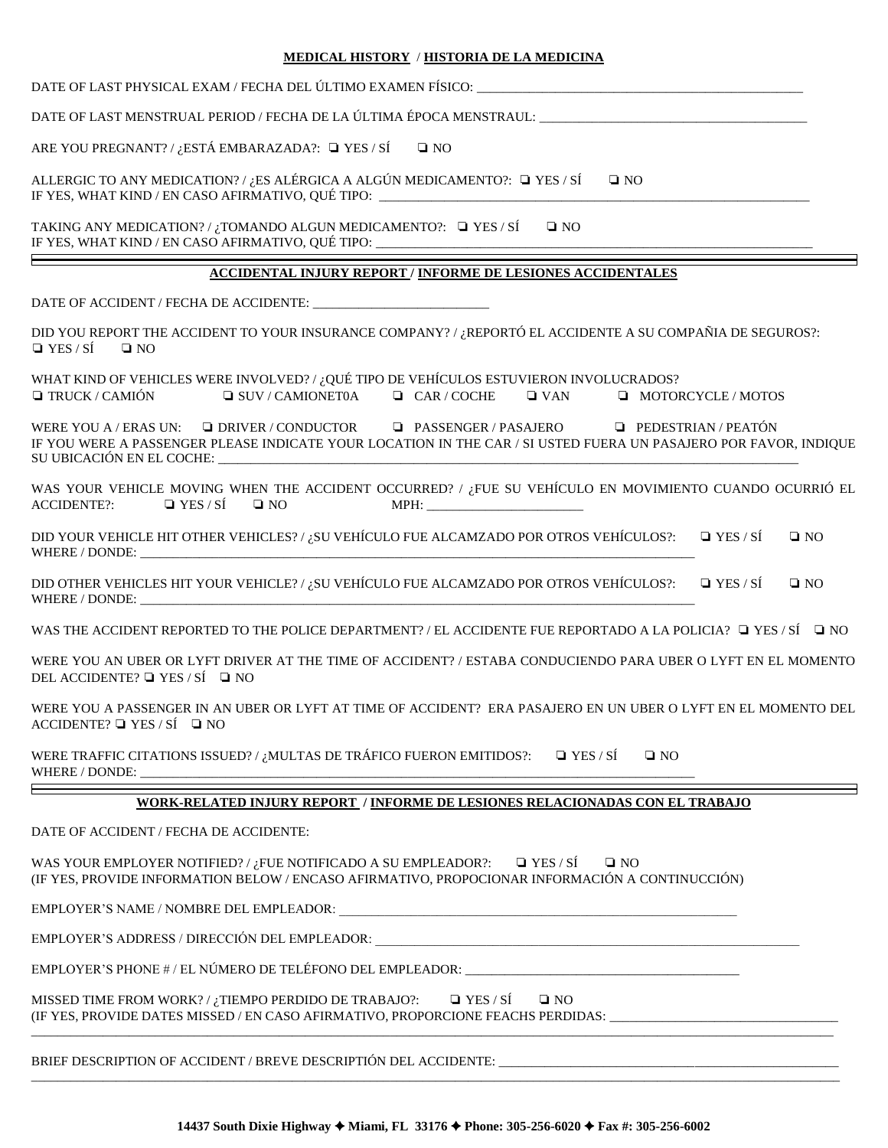#### **MEDICAL HISTORY** / **HISTORIA DE LA MEDICINA**

| <u>MEDICAL HISTORY / HISTORIA DE LA MEDICINA</u>                                                                                                                                                                           |
|----------------------------------------------------------------------------------------------------------------------------------------------------------------------------------------------------------------------------|
| DATE OF LAST PHYSICAL EXAM / FECHA DEL ÚLTIMO EXAMEN FÍSICO:                                                                                                                                                               |
| DATE OF LAST MENSTRUAL PERIOD / FECHA DE LA ÚLTIMA ÉPOCA MENSTRAUL: ________________________________                                                                                                                       |
| ARE YOU PREGNANT? / ¿ESTÁ EMBARAZADA?: $\Box$ YES / SÍ<br>$\square$ NO                                                                                                                                                     |
| ALLERGIC TO ANY MEDICATION? / ¿ES ALÉRGICA A ALGÚN MEDICAMENTO?: $\Box$ YES / SÍ<br>$\square$ NO<br>IF YES, WHAT KIND / EN CASO AFIRMATIVO, QUÉ TIPO: ______________________________                                       |
| TAKING ANY MEDICATION? / ¿TOMANDO ALGUN MEDICAMENTO?: □ YES / SÍ<br>$\square$ NO<br>IF YES, WHAT KIND / EN CASO AFIRMATIVO, QUÉ TIPO: ______________________________                                                       |
| <b>ACCIDENTAL INJURY REPORT / INFORME DE LESIONES ACCIDENTALES</b>                                                                                                                                                         |
|                                                                                                                                                                                                                            |
| DID YOU REPORT THE ACCIDENT TO YOUR INSURANCE COMPANY? / ¿REPORTÓ EL ACCIDENTE A SU COMPAÑIA DE SEGUROS?:<br>$\Box$ YES / SÍ<br>$\square$ NO                                                                               |
| WHAT KIND OF VEHICLES WERE INVOLVED? / ¿QUÉ TIPO DE VEHÍCULOS ESTUVIERON INVOLUCRADOS?<br>$\Box$ TRUCK / CAMIÓN<br>$\Box$ SUV/CAMIONET0A $\Box$ CAR/COCHE<br>$\Box$ VAN<br><b>MOTORCYCLE / MOTOS</b>                       |
| WERE YOU A / ERAS UN: $\Box$ DRIVER / CONDUCTOR $\Box$ PASSENGER / PASAJERO $\Box$ PEDESTRIAN / PEATÓN<br>IF YOU WERE A PASSENGER PLEASE INDICATE YOUR LOCATION IN THE CAR / SI USTED FUERA UN PASAJERO POR FAVOR, INDIQUE |
| WAS YOUR VEHICLE MOVING WHEN THE ACCIDENT OCCURRED? / ¿FUE SU VEHÍCULO EN MOVIMIENTO CUANDO OCURRIÓ EL<br>$\Box$ YES / SÍ $\Box$ NO<br><b>ACCIDENTE?:</b>                                                                  |
| DID YOUR VEHICLE HIT OTHER VEHICLES? / ¿SU VEHÍCULO FUE ALCAMZADO POR OTROS VEHÍCULOS?: $\square$ YES / SÍ<br>$\square$ NO                                                                                                 |
| DID OTHER VEHICLES HIT YOUR VEHICLE? / ¿SU VEHÍCULO FUE ALCAMZADO POR OTROS VEHÍCULOS?: $\square$ YES / SÍ<br>$\square$ NO<br>WHERE / DONDE: WHERE / DONDE:                                                                |
| WAS THE ACCIDENT REPORTED TO THE POLICE DEPARTMENT? / EL ACCIDENTE FUE REPORTADO A LA POLICIA? □ YES / SÍ □ NO                                                                                                             |
| WERE YOU AN UBER OR LYFT DRIVER AT THE TIME OF ACCIDENT? / ESTABA CONDUCIENDO PARA UBER O LYFT EN EL MOMENTO<br>DEL ACCIDENTE? $\Box$ YES / SÍ $\Box$ NO                                                                   |
| WERE YOU A PASSENGER IN AN UBER OR LYFT AT TIME OF ACCIDENT? ERA PASAJERO EN UN UBER O LYFT EN EL MOMENTO DEL<br>$\triangle$ CCIDENTE? $\Box$ YES / SÍ $\Box$ NO                                                           |
| WERE TRAFFIC CITATIONS ISSUED? / ¿MULTAS DE TRÁFICO FUERON EMITIDOS?:<br>$\Box$ YES / SÍ<br>$\square$ NO<br>WHERE / DONDE:                                                                                                 |
| WORK-RELATED INJURY REPORT / INFORME DE LESIONES RELACIONADAS CON EL TRABAJO                                                                                                                                               |
| DATE OF ACCIDENT / FECHA DE ACCIDENTE:                                                                                                                                                                                     |
| $\Box$ YES / SÍ<br>WAS YOUR EMPLOYER NOTIFIED? / $i$ FUE NOTIFICADO A SU EMPLEADOR?:<br>$\square$ NO                                                                                                                       |

(IF YES, PROVIDE INFORMATION BELOW / ENCASO AFIRMATIVO, PROPOCIONAR INFORMACIÓN A CONTINUCCIÓN)

EMPLOYER'S NAME / NOMBRE DEL EMPLEADOR: \_\_\_\_\_\_\_\_\_\_\_\_\_\_\_\_\_\_\_\_\_\_\_\_\_\_\_\_\_\_\_\_\_\_\_\_\_\_\_\_\_\_\_\_\_\_\_\_\_\_\_\_\_\_\_\_\_\_\_\_\_

EMPLOYER'S ADDRESS / DIRECCIÓN DEL EMPLEADOR: \_\_\_\_\_\_\_\_\_\_\_\_\_\_\_\_\_\_\_\_\_\_\_\_\_\_\_\_\_\_\_\_\_\_\_

EMPLOYER'S PHONE # / EL NÚMERO DE TELÉFONO DEL EMPLEADOR: \_\_\_\_\_\_\_\_\_\_\_\_\_\_\_\_\_\_\_\_\_\_\_

MISSED TIME FROM WORK? / ¿TIEMPO PERDIDO DE TRABAJO?:  $\Box$  YES / SÍ  $\Box$  NO (IF YES, PROVIDE DATES MISSED / EN CASO AFIRMATIVO, PROPORCIONE FEACHS PERDIDAS: \_\_\_\_\_\_\_\_\_\_\_\_\_\_\_\_\_\_\_\_\_\_\_\_\_\_\_\_\_\_\_\_\_\_\_ \_\_\_\_\_\_\_\_\_\_\_\_\_\_\_\_\_\_\_\_\_\_\_\_\_\_\_\_\_\_\_\_\_\_\_\_\_\_\_\_\_\_\_\_\_\_\_\_\_\_\_\_\_\_\_\_\_\_\_\_\_\_\_\_\_\_\_\_\_\_\_\_\_\_\_\_\_\_\_\_\_\_\_\_\_\_\_\_\_\_\_\_\_\_\_\_\_\_\_\_\_\_\_\_\_\_\_\_\_\_\_\_\_\_\_\_\_\_\_\_\_\_\_

BRIEF DESCRIPTION OF ACCIDENT / BREVE DESCRIPTIÓN DEL ACCIDENTE: \_\_\_\_\_\_\_\_\_\_\_\_\_\_\_

\_\_\_\_\_\_\_\_\_\_\_\_\_\_\_\_\_\_\_\_\_\_\_\_\_\_\_\_\_\_\_\_\_\_\_\_\_\_\_\_\_\_\_\_\_\_\_\_\_\_\_\_\_\_\_\_\_\_\_\_\_\_\_\_\_\_\_\_\_\_\_\_\_\_\_\_\_\_\_\_\_\_\_\_\_\_\_\_\_\_\_\_\_\_\_\_\_\_\_\_\_\_\_\_\_\_\_\_\_\_\_\_\_\_\_\_\_\_\_\_\_\_\_\_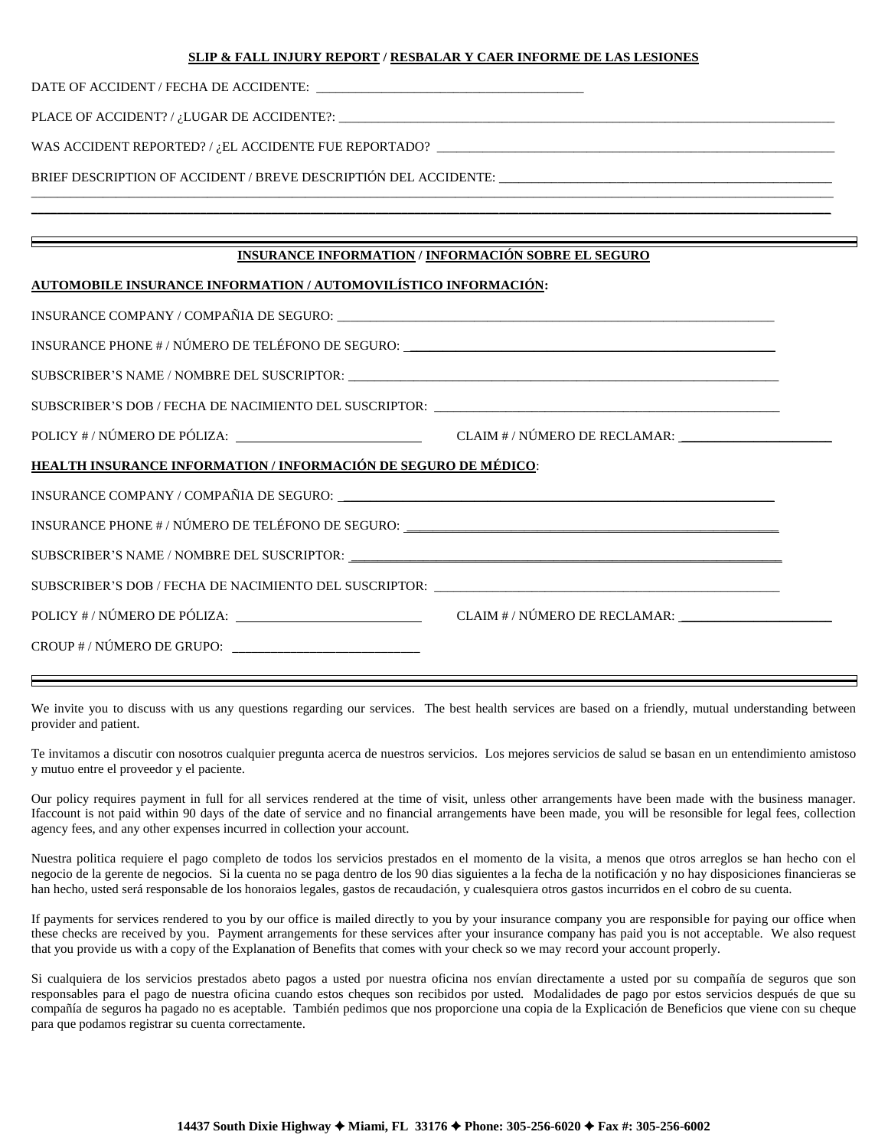#### **SLIP & FALL INJURY REPORT / RESBALAR Y CAER INFORME DE LAS LESIONES**

DATE OF ACCIDENT / FECHA DE ACCIDENTE:

PLACE OF ACCIDENT? /  $i$ LUGAR DE ACCIDENTE?:  $\_\_$ 

WAS ACCIDENT REPORTED? /  $_{i}$ EL ACCIDENTE FUE REPORTADO?  $\_\_$ 

BRIEF DESCRIPTION OF ACCIDENT / BREVE DESCRIPTIÓN DEL ACCIDENTE:

#### **INSURANCE INFORMATION / INFORMACIÓN SOBRE EL SEGURO**

\_\_\_\_\_\_\_\_\_\_\_\_\_\_\_\_\_\_\_\_\_\_\_\_\_\_\_\_\_\_\_\_\_\_\_\_\_\_\_\_\_\_\_\_\_\_\_\_\_\_\_\_\_\_\_\_\_\_\_\_\_\_\_\_\_\_\_\_\_\_\_\_\_\_\_\_\_\_\_\_\_\_\_\_\_\_\_\_\_\_\_\_\_\_\_\_\_\_\_\_\_\_\_\_\_\_\_\_\_\_\_\_\_\_\_\_\_\_\_\_\_\_\_  $\_$  , and the set of the set of the set of the set of the set of the set of the set of the set of the set of the set of the set of the set of the set of the set of the set of the set of the set of the set of the set of th

#### **AUTOMOBILE INSURANCE INFORMATION / AUTOMOVILÍSTICO INFORMACIÓN:**

| INSURANCE PHONE # / NÚMERO DE TELÉFONO DE SEGURO: _______________________________ |  |
|-----------------------------------------------------------------------------------|--|
|                                                                                   |  |
|                                                                                   |  |
|                                                                                   |  |
| <u>HEALTH INSURANCE INFORMATION / INFORMACIÓN DE SEGURO DE MÉDICO:</u>            |  |
|                                                                                   |  |
|                                                                                   |  |
|                                                                                   |  |
|                                                                                   |  |
|                                                                                   |  |
|                                                                                   |  |

We invite you to discuss with us any questions regarding our services. The best health services are based on a friendly, mutual understanding between provider and patient.

Te invitamos a discutir con nosotros cualquier pregunta acerca de nuestros servicios. Los mejores servicios de salud se basan en un entendimiento amistoso y mutuo entre el proveedor y el paciente.

Our policy requires payment in full for all services rendered at the time of visit, unless other arrangements have been made with the business manager. Ifaccount is not paid within 90 days of the date of service and no financial arrangements have been made, you will be resonsible for legal fees, collection agency fees, and any other expenses incurred in collection your account.

Nuestra politica requiere el pago completo de todos los servicios prestados en el momento de la visita, a menos que otros arreglos se han hecho con el negocio de la gerente de negocios. Si la cuenta no se paga dentro de los 90 dias siguientes a la fecha de la notificación y no hay disposiciones financieras se han hecho, usted será responsable de los honoraios legales, gastos de recaudación, y cualesquiera otros gastos incurridos en el cobro de su cuenta.

If payments for services rendered to you by our office is mailed directly to you by your insurance company you are responsible for paying our office when these checks are received by you. Payment arrangements for these services after your insurance company has paid you is not acceptable. We also request that you provide us with a copy of the Explanation of Benefits that comes with your check so we may record your account properly.

Si cualquiera de los servicios prestados abeto pagos a usted por nuestra oficina nos envían directamente a usted por su compañía de seguros que son responsables para el pago de nuestra oficina cuando estos cheques son recibidos por usted. Modalidades de pago por estos servicios después de que su compañía de seguros ha pagado no es aceptable. También pedimos que nos proporcione una copia de la Explicación de Beneficios que viene con su cheque para que podamos registrar su cuenta correctamente.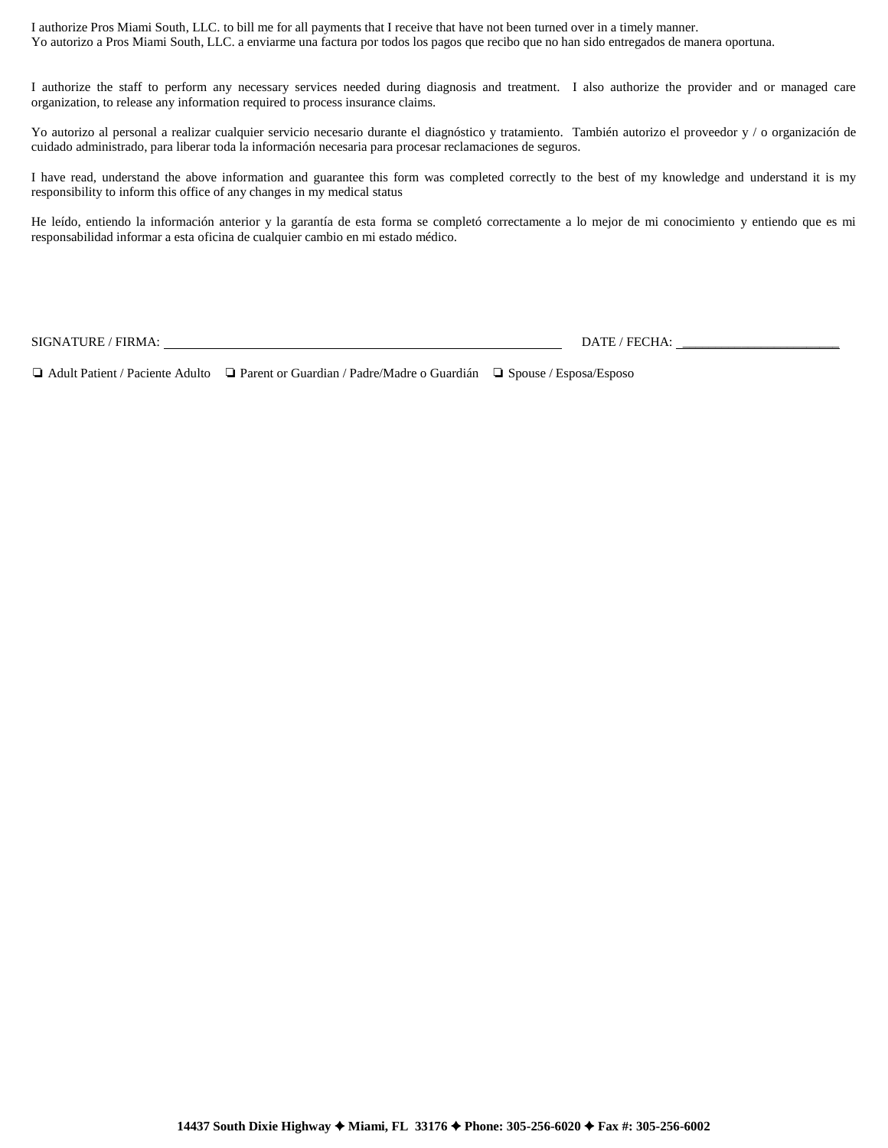I authorize Pros Miami South, LLC. to bill me for all payments that I receive that have not been turned over in a timely manner. Yo autorizo a Pros Miami South, LLC. a enviarme una factura por todos los pagos que recibo que no han sido entregados de manera oportuna.

I authorize the staff to perform any necessary services needed during diagnosis and treatment. I also authorize the provider and or managed care organization, to release any information required to process insurance claims.

Yo autorizo al personal a realizar cualquier servicio necesario durante el diagnóstico y tratamiento. También autorizo el proveedor y / o organización de cuidado administrado, para liberar toda la información necesaria para procesar reclamaciones de seguros.

I have read, understand the above information and guarantee this form was completed correctly to the best of my knowledge and understand it is my responsibility to inform this office of any changes in my medical status

He leído, entiendo la información anterior y la garantía de esta forma se completó correctamente a lo mejor de mi conocimiento y entiendo que es mi responsabilidad informar a esta oficina de cualquier cambio en mi estado médico.

SIGNATURE / FIRMA: DATE / FECHA: \_\_\_\_\_\_\_\_\_\_\_\_\_\_\_\_\_\_\_\_\_\_\_\_

❏ Adult Patient / Paciente Adulto ❏ Parent or Guardian / Padre/Madre o Guardián ❏ Spouse / Esposa/Esposo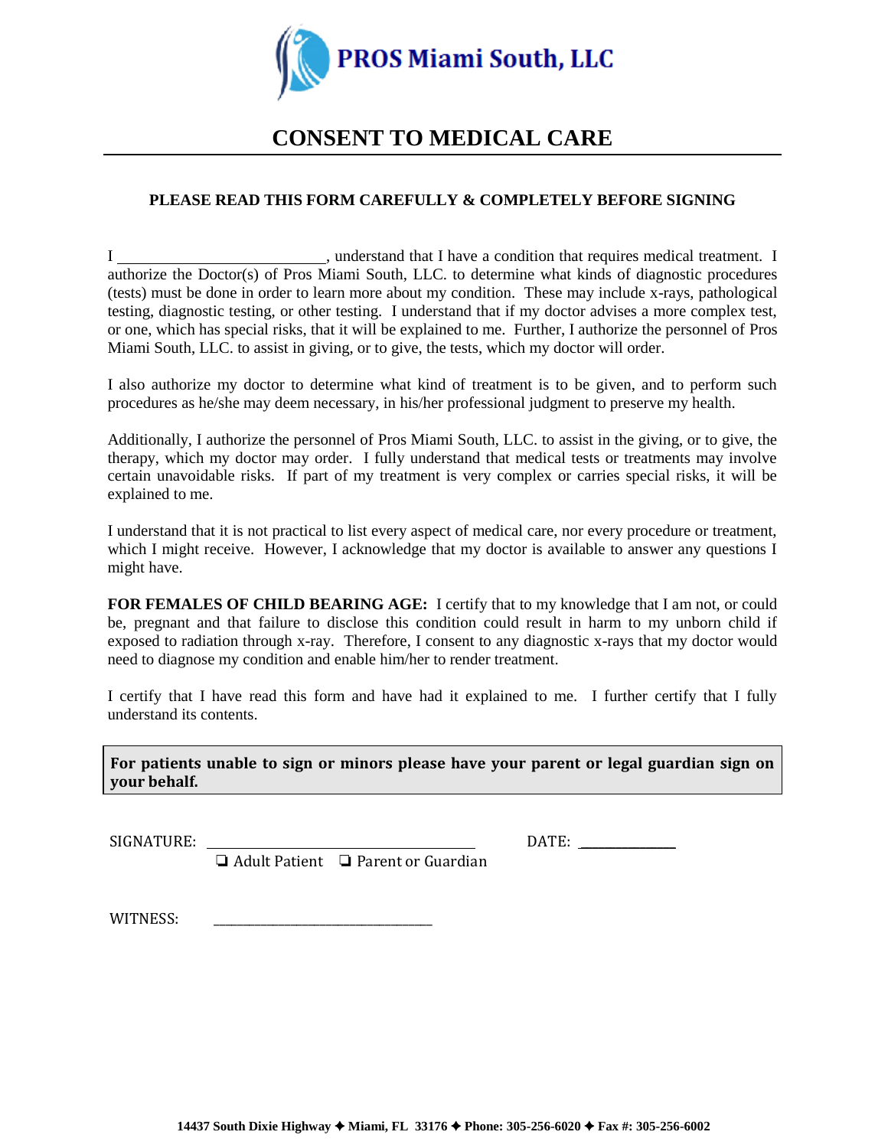

# **CONSENT TO MEDICAL CARE**

# **PLEASE READ THIS FORM CAREFULLY & COMPLETELY BEFORE SIGNING**

I support that I have a condition that requires medical treatment. I authorize the Doctor(s) of Pros Miami South, LLC. to determine what kinds of diagnostic procedures (tests) must be done in order to learn more about my condition. These may include x-rays, pathological testing, diagnostic testing, or other testing. I understand that if my doctor advises a more complex test, or one, which has special risks, that it will be explained to me. Further, I authorize the personnel of Pros Miami South, LLC. to assist in giving, or to give, the tests, which my doctor will order.

I also authorize my doctor to determine what kind of treatment is to be given, and to perform such procedures as he/she may deem necessary, in his/her professional judgment to preserve my health.

Additionally, I authorize the personnel of Pros Miami South, LLC. to assist in the giving, or to give, the therapy, which my doctor may order. I fully understand that medical tests or treatments may involve certain unavoidable risks. If part of my treatment is very complex or carries special risks, it will be explained to me.

I understand that it is not practical to list every aspect of medical care, nor every procedure or treatment, which I might receive. However, I acknowledge that my doctor is available to answer any questions I might have.

**FOR FEMALES OF CHILD BEARING AGE:** I certify that to my knowledge that I am not, or could be, pregnant and that failure to disclose this condition could result in harm to my unborn child if exposed to radiation through x-ray. Therefore, I consent to any diagnostic x-rays that my doctor would need to diagnose my condition and enable him/her to render treatment.

I certify that I have read this form and have had it explained to me. I further certify that I fully understand its contents.

**For patients unable to sign or minors please have your parent or legal guardian sign on your behalf.**

SIGNATURE: DATE: \_\_\_\_\_\_\_\_\_\_\_\_\_\_\_\_

❏ Adult Patient ❏ Parent or Guardian

WITNESS: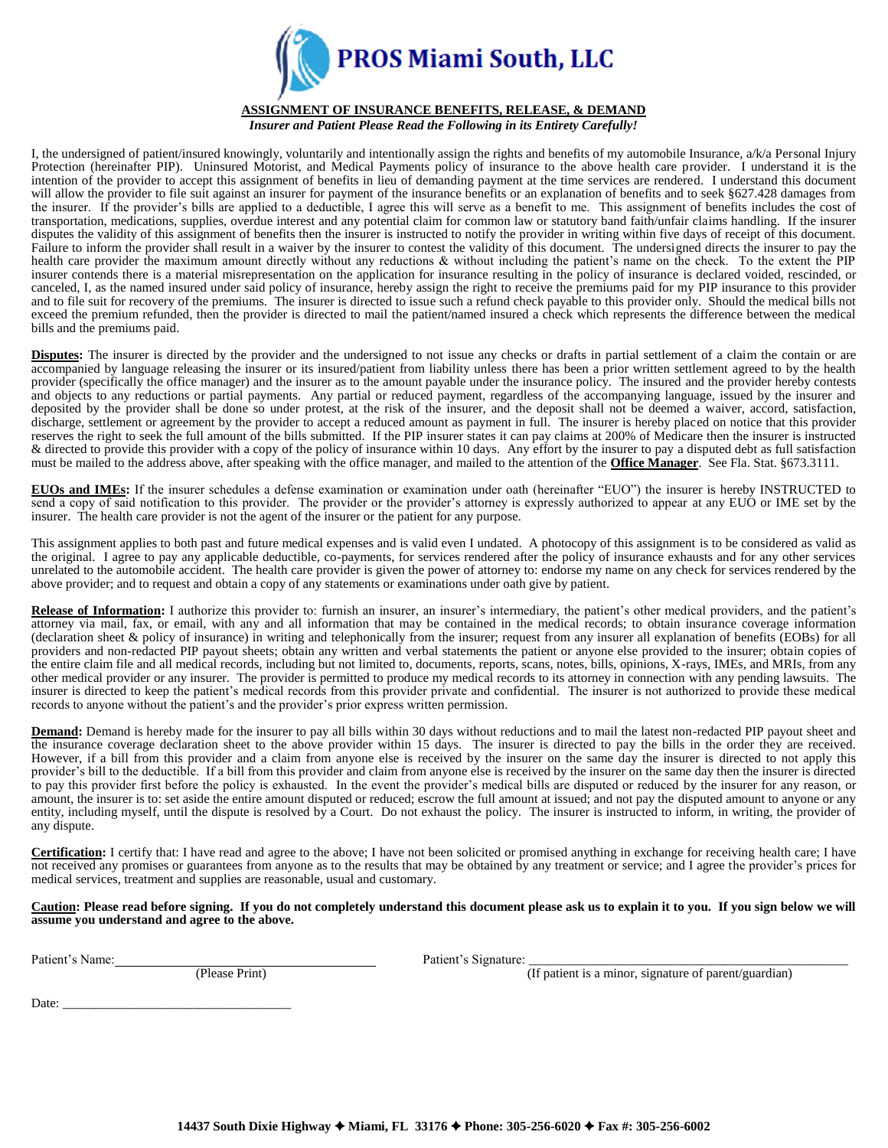

### **ASSIGNMENT OF INSURANCE BENEFITS, RELEASE, & DEMAND**

*Insurer and Patient Please Read the Following in its Entirety Carefully!*

I, the undersigned of patient/insured knowingly, voluntarily and intentionally assign the rights and benefits of my automobile Insurance, a/k/a Personal Injury Protection (hereinafter PIP). Uninsured Motorist, and Medical Payments policy of insurance to the above health care provider. I understand it is the intention of the provider to accept this assignment of benefits in lieu of demanding payment at the time services are rendered. I understand this document will allow the provider to file suit against an insurer for payment of the insurance benefits or an explanation of benefits and to seek §627.428 damages from the insurer. If the provider's bills are applied to a deductible, I agree this will serve as a benefit to me. This assignment of benefits includes the cost of transportation, medications, supplies, overdue interest and any potential claim for common law or statutory band faith/unfair claims handling. If the insurer disputes the validity of this assignment of benefits then the insurer is instructed to notify the provider in writing within five days of receipt of this document. Failure to inform the provider shall result in a waiver by the insurer to contest the validity of this document. The undersigned directs the insurer to pay the health care provider the maximum amount directly without any reductions & without including the patient's name on the check. To the extent the PIP insurer contends there is a material misrepresentation on the application for insurance resulting in the policy of insurance is declared voided, rescinded, or canceled, I, as the named insured under said policy of insurance, hereby assign the right to receive the premiums paid for my PIP insurance to this provider and to file suit for recovery of the premiums. The insurer is directed to issue such a refund check payable to this provider only. Should the medical bills not exceed the premium refunded, then the provider is directed to mail the patient/named insured a check which represents the difference between the medical bills and the premiums paid.

**Disputes:** The insurer is directed by the provider and the undersigned to not issue any checks or drafts in partial settlement of a claim the contain or are accompanied by language releasing the insurer or its insured/patient from liability unless there has been a prior written settlement agreed to by the health provider (specifically the office manager) and the insurer as to the amount payable under the insurance policy. The insured and the provider hereby contests and objects to any reductions or partial payments. Any partial or reduced payment, regardless of the accompanying language, issued by the insurer and deposited by the provider shall be done so under protest, at the risk of the insurer, and the deposit shall not be deemed a waiver, accord, satisfaction, discharge, settlement or agreement by the provider to accept a reduced amount as payment in full. The insurer is hereby placed on notice that this provider reserves the right to seek the full amount of the bills submitted. If the PIP insurer states it can pay claims at 200% of Medicare then the insurer is instructed & directed to provide this provider with a copy of the policy of insurance within 10 days. Any effort by the insurer to pay a disputed debt as full satisfaction must be mailed to the address above, after speaking with the office manager, and mailed to the attention of the **Office Manager**. See Fla. Stat. §673.3111.

**EUOs and IMEs:** If the insurer schedules a defense examination or examination under oath (hereinafter "EUO") the insurer is hereby INSTRUCTED to send a copy of said notification to this provider. The provider or the provider's attorney is expressly authorized to appear at any EUO or IME set by the insurer. The health care provider is not the agent of the insurer or the patient for any purpose.

This assignment applies to both past and future medical expenses and is valid even I undated. A photocopy of this assignment is to be considered as valid as the original. I agree to pay any applicable deductible, co-payments, for services rendered after the policy of insurance exhausts and for any other services unrelated to the automobile accident. The health care provider is given the power of attorney to: endorse my name on any check for services rendered by the above provider; and to request and obtain a copy of any statements or examinations under oath give by patient.

**Release of Information:** I authorize this provider to: furnish an insurer, an insurer's intermediary, the patient's other medical providers, and the patient's attorney via mail, fax, or email, with any and all information that may be contained in the medical records; to obtain insurance coverage information (declaration sheet & policy of insurance) in writing and telephonically from the insurer; request from any insurer all explanation of benefits (EOBs) for all providers and non-redacted PIP payout sheets; obtain any written and verbal statements the patient or anyone else provided to the insurer; obtain copies of the entire claim file and all medical records, including but not limited to, documents, reports, scans, notes, bills, opinions, X-rays, IMEs, and MRIs, from any other medical provider or any insurer. The provider is permitted to produce my medical records to its attorney in connection with any pending lawsuits. The insurer is directed to keep the patient's medical records from this provider private and confidential. The insurer is not authorized to provide these medical records to anyone without the patient's and the provider's prior express written permission.

**Demand:** Demand is hereby made for the insurer to pay all bills within 30 days without reductions and to mail the latest non-redacted PIP payout sheet and the insurance coverage declaration sheet to the above provider within 15 days. The insurer is directed to pay the bills in the order they are received. However, if a bill from this provider and a claim from anyone else is received by the insurer on the same day the insurer is directed to not apply this provider's bill to the deductible. If a bill from this provider and claim from anyone else is received by the insurer on the same day then the insurer is directed to pay this provider first before the policy is exhausted. In the event the provider's medical bills are disputed or reduced by the insurer for any reason, or amount, the insurer is to: set aside the entire amount disputed or reduced; escrow the full amount at issued; and not pay the disputed amount to anyone or any entity, including myself, until the dispute is resolved by a Court. Do not exhaust the policy. The insurer is instructed to inform, in writing, the provider of any dispute.

**Certification:** I certify that: I have read and agree to the above; I have not been solicited or promised anything in exchange for receiving health care; I have not received any promises or guarantees from anyone as to the results that may be obtained by any treatment or service; and I agree the provider's prices for medical services, treatment and supplies are reasonable, usual and customary.

**Caution: Please read before signing. If you do not completely understand this document please ask us to explain it to you. If you sign below we will assume you understand and agree to the above.**

Patient's Name: Change Print Patient's Signature: Patient's Signature:

 $(\text{If patient is a minor, signature of parent/guardian})$ 

Date:  $\_\_$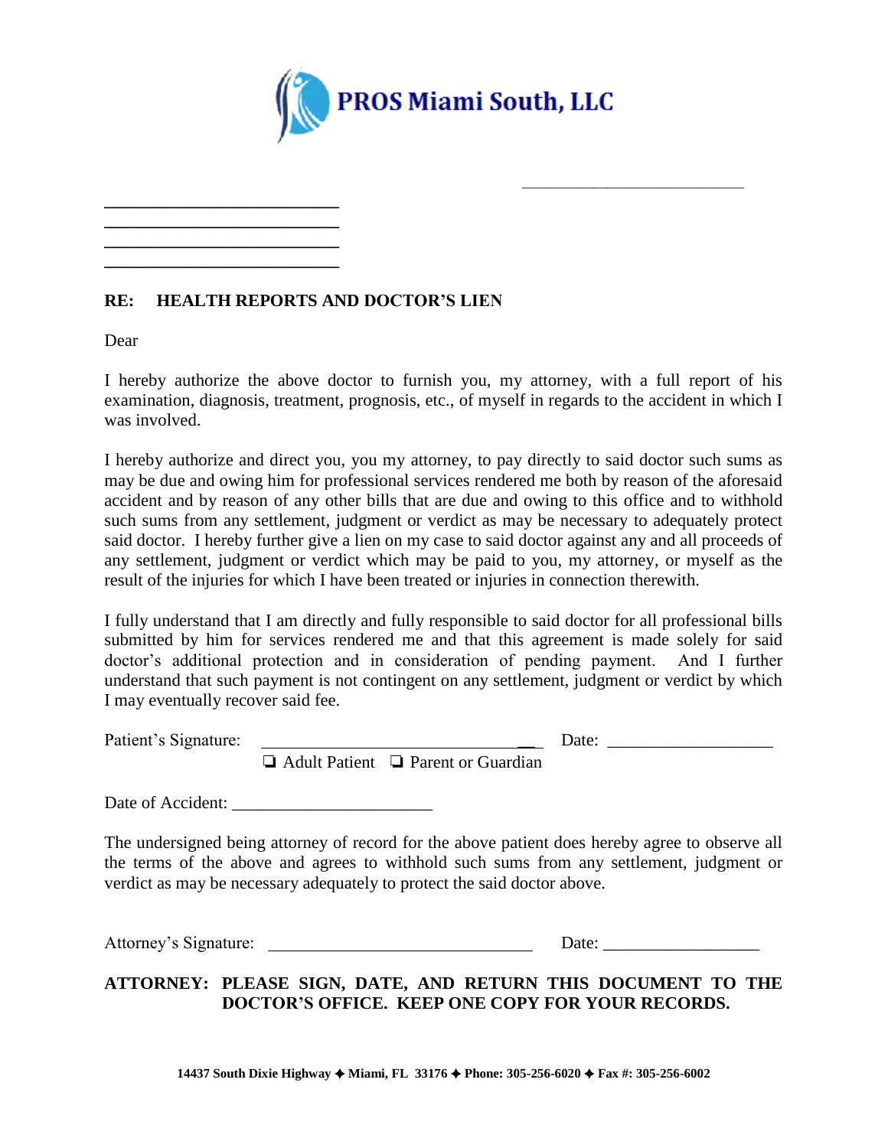

# **RE: HEALTH REPORTS AND DOCTOR'S LIEN**

**\_\_\_\_\_\_\_\_\_\_\_\_\_\_\_\_\_\_\_\_\_\_\_\_\_\_\_ \_\_\_\_\_\_\_\_\_\_\_\_\_\_\_\_\_\_\_\_\_\_\_\_\_\_\_ \_\_\_\_\_\_\_\_\_\_\_\_\_\_\_\_\_\_\_\_\_\_\_\_\_\_\_ \_\_\_\_\_\_\_\_\_\_\_\_\_\_\_\_\_\_\_\_\_\_\_\_\_\_\_**

Dear

I hereby authorize the above doctor to furnish you, my attorney, with a full report of his examination, diagnosis, treatment, prognosis, etc., of myself in regards to the accident in which I was involved.

I hereby authorize and direct you, you my attorney, to pay directly to said doctor such sums as may be due and owing him for professional services rendered me both by reason of the aforesaid accident and by reason of any other bills that are due and owing to this office and to withhold such sums from any settlement, judgment or verdict as may be necessary to adequately protect said doctor. I hereby further give a lien on my case to said doctor against any and all proceeds of any settlement, judgment or verdict which may be paid to you, my attorney, or myself as the result of the injuries for which I have been treated or injuries in connection therewith.

I fully understand that I am directly and fully responsible to said doctor for all professional bills submitted by him for services rendered me and that this agreement is made solely for said doctor's additional protection and in consideration of pending payment. And I further understand that such payment is not contingent on any settlement, judgment or verdict by which I may eventually recover said fee.

Patient's Signature: \_\_ Date: \_\_\_\_\_\_\_\_\_\_\_\_\_\_\_\_\_\_\_

\_\_\_\_\_\_\_\_\_\_\_\_\_\_\_\_\_\_\_\_\_\_\_\_\_\_\_\_\_\_\_\_\_\_

❏ Adult Patient ❏ Parent or Guardian

Date of Accident:

The undersigned being attorney of record for the above patient does hereby agree to observe all the terms of the above and agrees to withhold such sums from any settlement, judgment or verdict as may be necessary adequately to protect the said doctor above.

Attorney's Signature: Date: \_\_\_\_\_\_\_\_\_\_\_\_\_\_\_\_\_\_

# **ATTORNEY: PLEASE SIGN, DATE, AND RETURN THIS DOCUMENT TO THE DOCTOR'S OFFICE. KEEP ONE COPY FOR YOUR RECORDS.**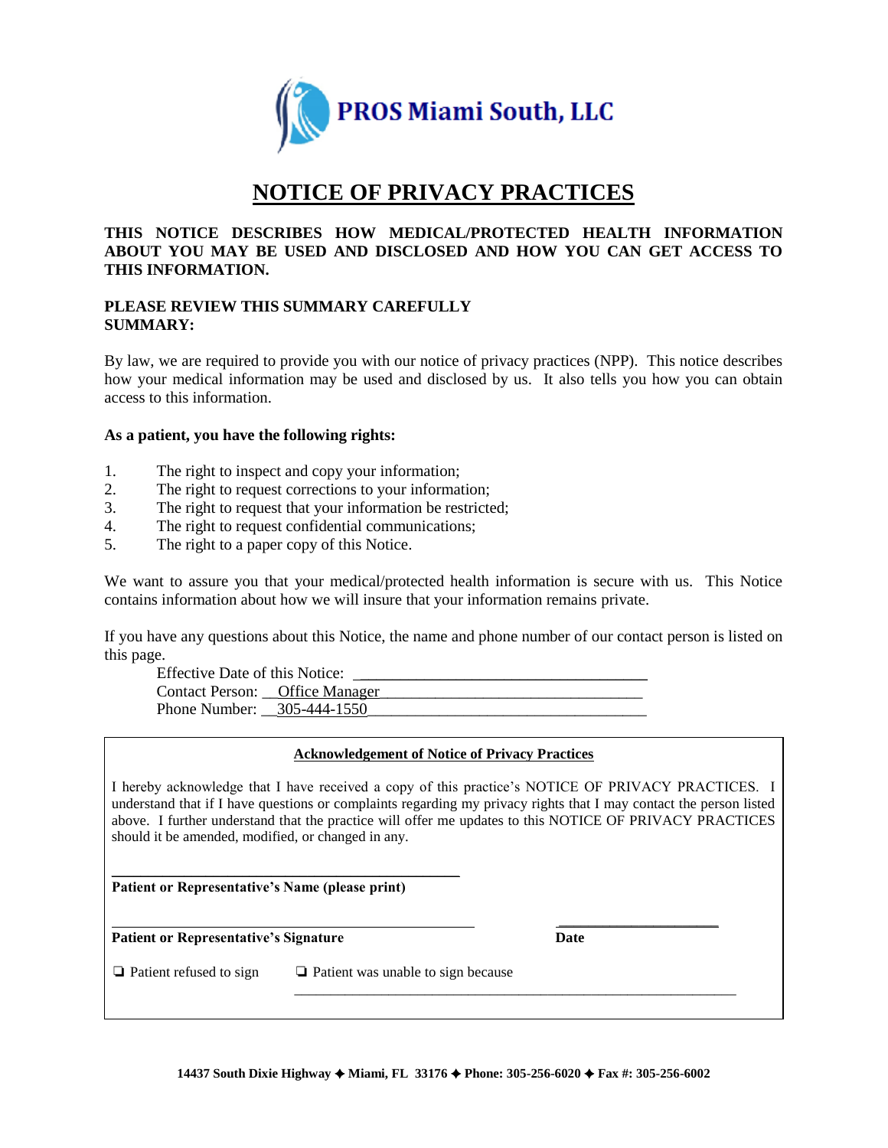

# **NOTICE OF PRIVACY PRACTICES**

## **THIS NOTICE DESCRIBES HOW MEDICAL/PROTECTED HEALTH INFORMATION ABOUT YOU MAY BE USED AND DISCLOSED AND HOW YOU CAN GET ACCESS TO THIS INFORMATION.**

## **PLEASE REVIEW THIS SUMMARY CAREFULLY SUMMARY:**

By law, we are required to provide you with our notice of privacy practices (NPP). This notice describes how your medical information may be used and disclosed by us. It also tells you how you can obtain access to this information.

## **As a patient, you have the following rights:**

- 1. The right to inspect and copy your information;
- 2. The right to request corrections to your information;
- 3. The right to request that your information be restricted;
- 4. The right to request confidential communications;
- 5. The right to a paper copy of this Notice.

We want to assure you that your medical/protected health information is secure with us. This Notice contains information about how we will insure that your information remains private.

If you have any questions about this Notice, the name and phone number of our contact person is listed on this page.

Effective Date of this Notice:

Contact Person: \_\_Office Manager Phone Number: \_\_305-444-1550\_\_\_\_\_\_\_\_\_\_\_\_\_\_\_\_\_\_\_\_\_\_\_\_\_\_\_\_\_\_\_\_\_\_\_

## **Acknowledgement of Notice of Privacy Practices**

I hereby acknowledge that I have received a copy of this practice's NOTICE OF PRIVACY PRACTICES. I understand that if I have questions or complaints regarding my privacy rights that I may contact the person listed above. I further understand that the practice will offer me updates to this NOTICE OF PRIVACY PRACTICES should it be amended, modified, or changed in any.

 $\mathcal{L}_\text{max}$  and  $\mathcal{L}_\text{max}$  and  $\mathcal{L}_\text{max}$  and  $\mathcal{L}_\text{max}$ **Patient or Representative's Name (please print)**

**Patient or Representative's Signature Date**

\_\_\_\_\_\_\_\_\_\_\_\_\_\_\_\_\_\_\_\_\_\_\_\_\_\_\_\_\_\_\_\_\_\_\_\_\_\_\_\_\_\_\_\_\_\_\_\_\_\_\_\_\_\_\_\_\_\_\_\_\_

❏ Patient refused to sign ❏ Patient was unable to sign because

\_\_\_\_\_\_\_\_\_\_\_\_\_\_\_\_\_\_\_\_\_\_